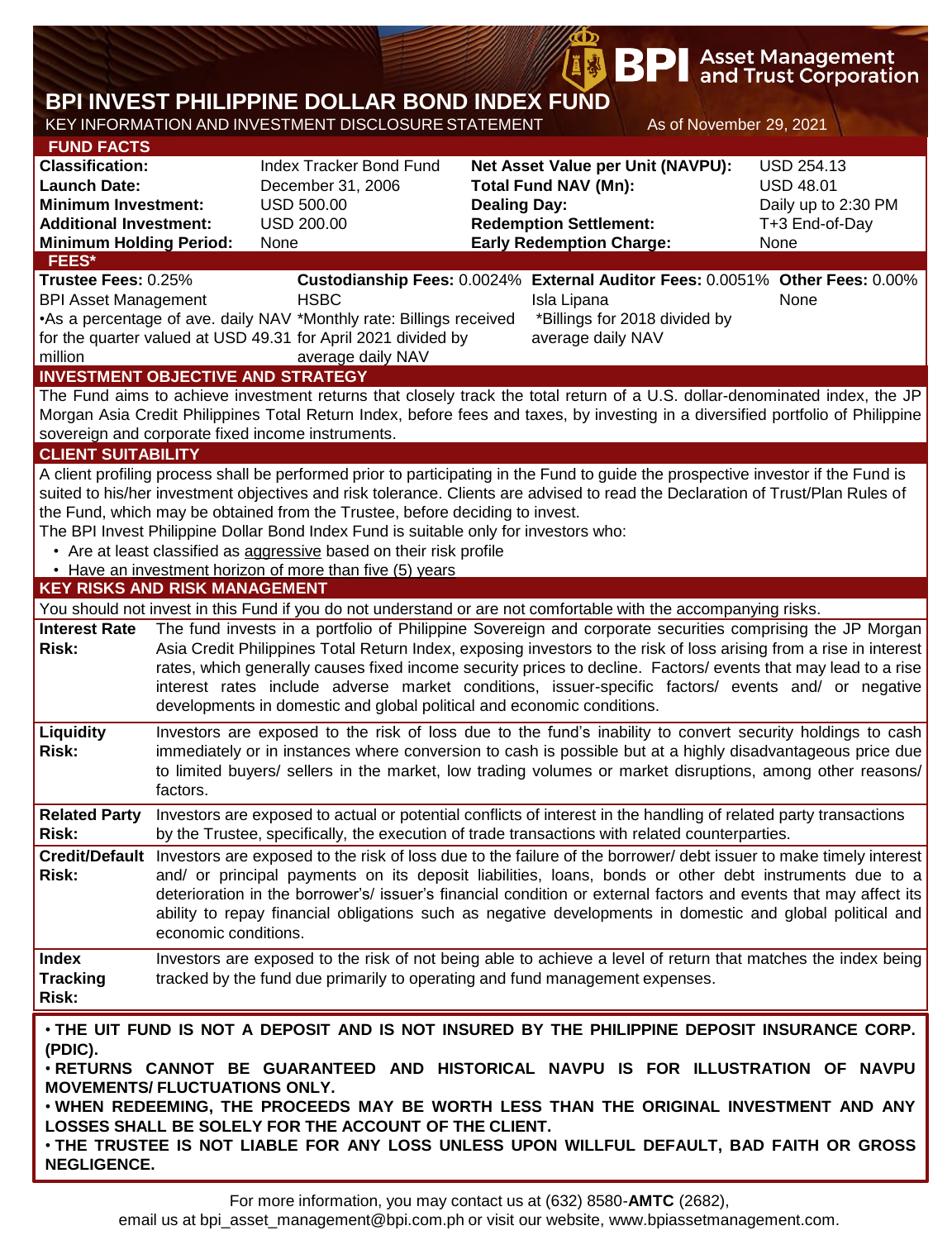|                                                                                                                                                                     |                      |                                                                                                                                                                                                                                                                                                                                                                                                                                                                                                                                   |                     | BP                                                                                                                                   |                         | <b>Asset Management</b><br>and Trust Corporation                                       |
|---------------------------------------------------------------------------------------------------------------------------------------------------------------------|----------------------|-----------------------------------------------------------------------------------------------------------------------------------------------------------------------------------------------------------------------------------------------------------------------------------------------------------------------------------------------------------------------------------------------------------------------------------------------------------------------------------------------------------------------------------|---------------------|--------------------------------------------------------------------------------------------------------------------------------------|-------------------------|----------------------------------------------------------------------------------------|
|                                                                                                                                                                     |                      | BPI INVEST PHILIPPINE DOLLAR BOND INDEX FUND<br>KEY INFORMATION AND INVESTMENT DISCLOSURE STATEMENT                                                                                                                                                                                                                                                                                                                                                                                                                               |                     |                                                                                                                                      | As of November 29, 2021 |                                                                                        |
| <b>FUND FACTS</b><br><b>Classification:</b><br><b>Launch Date:</b><br><b>Minimum Investment:</b><br><b>Additional Investment:</b><br><b>Minimum Holding Period:</b> |                      | <b>Index Tracker Bond Fund</b><br>December 31, 2006<br><b>USD 500.00</b><br><b>USD 200.00</b><br>None                                                                                                                                                                                                                                                                                                                                                                                                                             | <b>Dealing Day:</b> | Net Asset Value per Unit (NAVPU):<br><b>Total Fund NAV (Mn):</b><br><b>Redemption Settlement:</b><br><b>Early Redemption Charge:</b> |                         | <b>USD 254.13</b><br><b>USD 48.01</b><br>Daily up to 2:30 PM<br>T+3 End-of-Day<br>None |
| FEES*<br>Trustee Fees: 0.25%<br><b>BPI Asset Management</b><br>million                                                                                              |                      | <b>HSBC</b><br>•As a percentage of ave. daily NAV *Monthly rate: Billings received<br>for the quarter valued at USD 49.31 for April 2021 divided by<br>average daily NAV                                                                                                                                                                                                                                                                                                                                                          |                     | Isla Lipana<br>*Billings for 2018 divided by<br>average daily NAV                                                                    |                         | Custodianship Fees: 0.0024% External Auditor Fees: 0.0051% Other Fees: 0.00%<br>None   |
| <b>CLIENT SUITABILITY</b>                                                                                                                                           |                      | <b>INVESTMENT OBJECTIVE AND STRATEGY</b><br>The Fund aims to achieve investment returns that closely track the total return of a U.S. dollar-denominated index, the JP<br>Morgan Asia Credit Philippines Total Return Index, before fees and taxes, by investing in a diversified portfolio of Philippine<br>sovereign and corporate fixed income instruments.<br>A client profiling process shall be performed prior to participating in the Fund to guide the prospective investor if the Fund is                               |                     |                                                                                                                                      |                         |                                                                                        |
| <b>KEY RISKS AND RISK MANAGEMENT</b>                                                                                                                                |                      | suited to his/her investment objectives and risk tolerance. Clients are advised to read the Declaration of Trust/Plan Rules of<br>the Fund, which may be obtained from the Trustee, before deciding to invest.<br>The BPI Invest Philippine Dollar Bond Index Fund is suitable only for investors who:<br>• Are at least classified as aggressive based on their risk profile<br>• Have an investment horizon of more than five (5) years                                                                                         |                     |                                                                                                                                      |                         |                                                                                        |
|                                                                                                                                                                     |                      | You should not invest in this Fund if you do not understand or are not comfortable with the accompanying risks.                                                                                                                                                                                                                                                                                                                                                                                                                   |                     |                                                                                                                                      |                         |                                                                                        |
| <b>Interest Rate</b><br><b>Risk:</b>                                                                                                                                |                      | The fund invests in a portfolio of Philippine Sovereign and corporate securities comprising the JP Morgan<br>Asia Credit Philippines Total Return Index, exposing investors to the risk of loss arising from a rise in interest<br>rates, which generally causes fixed income security prices to decline. Factors/ events that may lead to a rise<br>interest rates include adverse market conditions, issuer-specific factors/ events and/ or negative<br>developments in domestic and global political and economic conditions. |                     |                                                                                                                                      |                         |                                                                                        |
| Liquidity<br><b>Risk:</b>                                                                                                                                           | factors.             | Investors are exposed to the risk of loss due to the fund's inability to convert security holdings to cash<br>immediately or in instances where conversion to cash is possible but at a highly disadvantageous price due<br>to limited buyers/ sellers in the market, low trading volumes or market disruptions, among other reasons/                                                                                                                                                                                             |                     |                                                                                                                                      |                         |                                                                                        |
| <b>Related Party</b><br><b>Risk:</b>                                                                                                                                |                      | Investors are exposed to actual or potential conflicts of interest in the handling of related party transactions<br>by the Trustee, specifically, the execution of trade transactions with related counterparties.                                                                                                                                                                                                                                                                                                                |                     |                                                                                                                                      |                         |                                                                                        |
| Risk:                                                                                                                                                               | economic conditions. | Credit/Default Investors are exposed to the risk of loss due to the failure of the borrower/debt issuer to make timely interest<br>and/ or principal payments on its deposit liabilities, loans, bonds or other debt instruments due to a<br>deterioration in the borrower's/ issuer's financial condition or external factors and events that may affect its<br>ability to repay financial obligations such as negative developments in domestic and global political and                                                        |                     |                                                                                                                                      |                         |                                                                                        |
| <b>Index</b><br><b>Tracking</b><br>Risk:                                                                                                                            |                      | Investors are exposed to the risk of not being able to achieve a level of return that matches the index being<br>tracked by the fund due primarily to operating and fund management expenses.                                                                                                                                                                                                                                                                                                                                     |                     |                                                                                                                                      |                         |                                                                                        |
| (PDIC).<br><b>MOVEMENTS/ FLUCTUATIONS ONLY.</b><br><b>NEGLIGENCE.</b>                                                                                               |                      | . THE UIT FUND IS NOT A DEPOSIT AND IS NOT INSURED BY THE PHILIPPINE DEPOSIT INSURANCE CORP.<br>. RETURNS CANNOT BE GUARANTEED AND HISTORICAL NAVPU IS FOR ILLUSTRATION OF NAVPU<br>. WHEN REDEEMING, THE PROCEEDS MAY BE WORTH LESS THAN THE ORIGINAL INVESTMENT AND ANY<br>LOSSES SHALL BE SOLELY FOR THE ACCOUNT OF THE CLIENT.<br>. THE TRUSTEE IS NOT LIABLE FOR ANY LOSS UNLESS UPON WILLFUL DEFAULT, BAD FAITH OR GROSS                                                                                                    |                     |                                                                                                                                      |                         |                                                                                        |

**OD**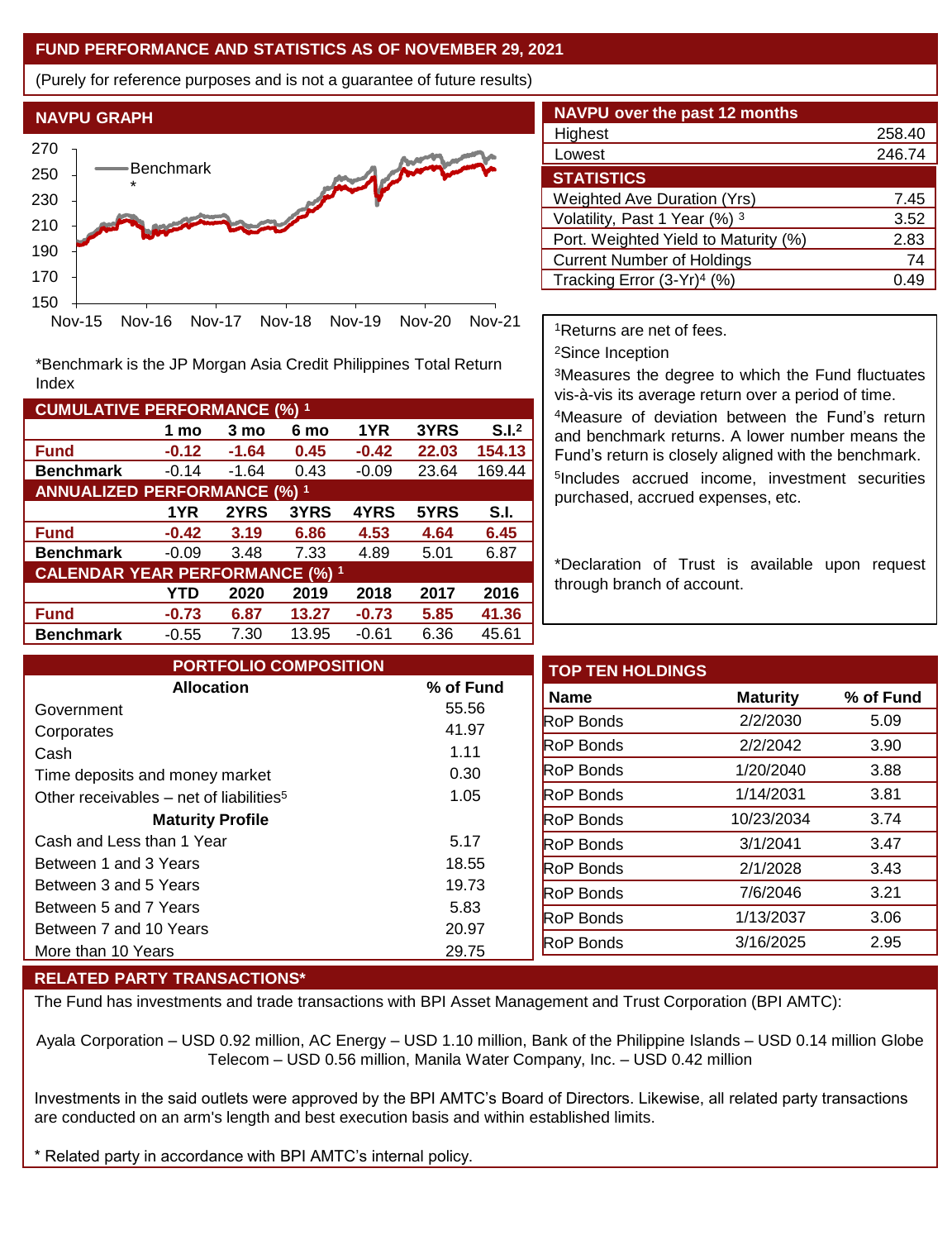## **FUND PERFORMANCE AND STATISTICS AS OF NOVEMBER 29, 2021**

(Purely for reference purposes and is not a guarantee of future results)



\*Benchmark is the JP Morgan Asia Credit Philippines Total Return Index

| <b>CUMULATIVE PERFORMANCE (%) 1</b>    |         |         |       |         |       |                   |  |  |
|----------------------------------------|---------|---------|-------|---------|-------|-------------------|--|--|
|                                        | 1 mo    | 3 mo    | 6 mo  | 1YR     | 3YRS  | S.I. <sup>2</sup> |  |  |
| <b>Fund</b>                            | $-0.12$ | $-1.64$ | 0.45  | $-0.42$ | 22.03 | 154.13            |  |  |
| <b>Benchmark</b>                       | $-0.14$ | $-1.64$ | 0.43  | $-0.09$ | 23.64 | 169.44            |  |  |
| <b>ANNUALIZED PERFORMANCE (%) 1</b>    |         |         |       |         |       |                   |  |  |
|                                        | 1YR     | 2YRS    | 3YRS  | 4YRS    | 5YRS  | S.I.              |  |  |
| <b>Fund</b>                            | $-0.42$ | 3.19    | 6.86  | 4.53    | 4.64  | 6.45              |  |  |
| <b>Benchmark</b>                       | $-0.09$ | 3.48    | 7.33  | 4.89    | 5.01  | 6.87              |  |  |
| <b>CALENDAR YEAR PERFORMANCE (%) 1</b> |         |         |       |         |       |                   |  |  |
|                                        | YTD     | 2020    | 2019  | 2018    | 2017  | 2016              |  |  |
| <b>Fund</b>                            | $-0.73$ | 6.87    | 13.27 | $-0.73$ | 5.85  | 41.36             |  |  |
| <b>Benchmark</b>                       | $-0.55$ | 7.30    | 13.95 | $-0.61$ | 6.36  | 45.61             |  |  |

| <b>NAVPU over the past 12 months</b> |        |
|--------------------------------------|--------|
| Highest                              | 258.40 |
| Lowest                               | 246.74 |
| <b>STATISTICS</b>                    |        |
| <b>Weighted Ave Duration (Yrs)</b>   | 7.45   |
| Volatility, Past 1 Year (%) 3        | 3.52   |
| Port. Weighted Yield to Maturity (%) | 2.83   |
| <b>Current Number of Holdings</b>    | 74     |
| Tracking Error $(3-Yr)^4$ (%)        | 0.49   |

<sup>1</sup>Returns are net of fees.

<sup>2</sup>Since Inception

<sup>3</sup>Measures the degree to which the Fund fluctuates vis-à-vis its average return over a period of time.

<sup>4</sup>Measure of deviation between the Fund's return and benchmark returns. A lower number means the Fund's return is closely aligned with the benchmark. 5 Includes accrued income, investment securities purchased, accrued expenses, etc.

\*Declaration of Trust is available upon request through branch of account.

| <b>PORTFOLIO COMPOSITION</b>                        |                | <b>TOP TEN HOLDINGS</b> |                 |  |
|-----------------------------------------------------|----------------|-------------------------|-----------------|--|
| <b>Allocation</b>                                   | % of Fund      | <b>Name</b>             | <b>Maturity</b> |  |
| Government                                          | 55.56          | <b>RoP Bonds</b>        | 2/2/2030        |  |
| Corporates<br>Cash                                  | 41.97<br>1.11  | <b>RoP Bonds</b>        | 2/2/2042        |  |
| Time deposits and money market                      | 0.30           | <b>RoP</b> Bonds        | 1/20/2040       |  |
| Other receivables – net of liabilities <sup>5</sup> | 1.05           | <b>RoP</b> Bonds        | 1/14/2031       |  |
| <b>Maturity Profile</b>                             |                | <b>RoP Bonds</b>        | 10/23/2034      |  |
| Cash and Less than 1 Year                           | 5.17           | <b>RoP Bonds</b>        | 3/1/2041        |  |
| Between 1 and 3 Years                               | 18.55          | <b>RoP</b> Bonds        | 2/1/2028        |  |
| Between 3 and 5 Years                               | 19.73          | <b>RoP Bonds</b>        | 7/6/2046        |  |
| Between 5 and 7 Years                               | 5.83           | <b>RoP Bonds</b>        | 1/13/2037       |  |
| Between 7 and 10 Years<br>More than 10 Years        | 20.97<br>29.75 | RoP Bonds               | 3/16/2025       |  |
|                                                     |                |                         |                 |  |

## **RELATED PARTY TRANSACTIONS\***

The Fund has investments and trade transactions with BPI Asset Management and Trust Corporation (BPI AMTC):

Ayala Corporation – USD 0.92 million, AC Energy – USD 1.10 million, Bank of the Philippine Islands – USD 0.14 million Globe Telecom – USD 0.56 million, Manila Water Company, Inc. – USD 0.42 million

Investments in the said outlets were approved by the BPI AMTC's Board of Directors. Likewise, all related party transactions are conducted on an arm's length and best execution basis and within established limits.

\* Related party in accordance with BPI AMTC's internal policy.